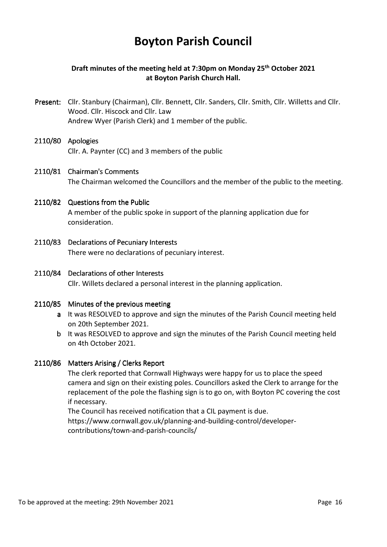# **Boyton Parish Council**

## **Draft minutes of the meeting held at 7:30pm on Monday 25th October 2021 at Boyton Parish Church Hall.**

Present: Cllr. Stanbury (Chairman), Cllr. Bennett, Cllr. Sanders, Cllr. Smith, Cllr. Willetts and Cllr. Wood. Cllr. Hiscock and Cllr. Law Andrew Wyer (Parish Clerk) and 1 member of the public.

# 2110/80 Apologies

Cllr. A. Paynter (CC) and 3 members of the public

#### 2110/81 Chairman's Comments

The Chairman welcomed the Councillors and the member of the public to the meeting.

# 2110/82 Questions from the Public

 A member of the public spoke in support of the planning application due for consideration.

- 2110/83 Declarations of Pecuniary Interests There were no declarations of pecuniary interest.
- 2110/84 Declarations of other Interests Cllr. Willets declared a personal interest in the planning application.

#### 2110/85 Minutes of the previous meeting

- a It was RESOLVED to approve and sign the minutes of the Parish Council meeting held on 20th September 2021.
- b It was RESOLVED to approve and sign the minutes of the Parish Council meeting held on 4th October 2021.

#### 2110/86 Matters Arising / Clerks Report

 The clerk reported that Cornwall Highways were happy for us to place the speed camera and sign on their existing poles. Councillors asked the Clerk to arrange for the replacement of the pole the flashing sign is to go on, with Boyton PC covering the cost if necessary.

The Council has received notification that a CIL payment is due. https://www.cornwall.gov.uk/planning-and-building-control/developercontributions/town-and-parish-councils/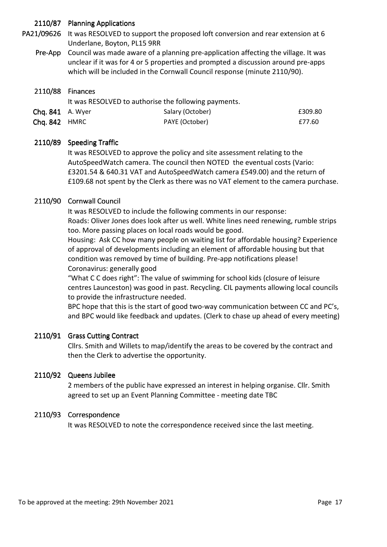## 2110/87 Planning Applications

PA21/09626 It was RESOLVED to support the proposed loft conversion and rear extension at 6 Underlane, Boyton, PL15 9RR

Pre-App Council was made aware of a planning pre-application affecting the village. It was unclear if it was for 4 or 5 properties and prompted a discussion around pre-apps which will be included in the Cornwall Council response (minute 2110/90).

#### $2110/88$  Finances

|                  | It was RESOLVED to authorise the following payments. |                  |         |
|------------------|------------------------------------------------------|------------------|---------|
| Chq. 841 A. Wyer |                                                      | Salary (October) | £309.80 |
| Chg. 842 HMRC    |                                                      | PAYE (October)   | £77.60  |

#### 2110/89 Speeding Traffic

 It was RESOLVED to approve the policy and site assessment relating to the AutoSpeedWatch camera. The council then NOTED the eventual costs (Vario: £3201.54 & 640.31 VAT and AutoSpeedWatch camera £549.00) and the return of £109.68 not spent by the Clerk as there was no VAT element to the camera purchase.

#### 2110/90 Cornwall Council

It was RESOLVED to include the following comments in our response:

Roads: Oliver Jones does look after us well. White lines need renewing, rumble strips too. More passing places on local roads would be good.

Housing: Ask CC how many people on waiting list for affordable housing? Experience of approval of developments including an element of affordable housing but that condition was removed by time of building. Pre-app notifications please! Coronavirus: generally good

"What C C does right": The value of swimming for school kids (closure of leisure centres Launceston) was good in past. Recycling. CIL payments allowing local councils to provide the infrastructure needed.

BPC hope that this is the start of good two-way communication between CC and PC's, and BPC would like feedback and updates. (Clerk to chase up ahead of every meeting)

#### 2110/91 Grass Cutting Contract

 Cllrs. Smith and Willets to map/identify the areas to be covered by the contract and then the Clerk to advertise the opportunity.

#### 2110/92 Queens Jubilee

 2 members of the public have expressed an interest in helping organise. Cllr. Smith agreed to set up an Event Planning Committee - meeting date TBC

#### 2110/93 Correspondence

It was RESOLVED to note the correspondence received since the last meeting.